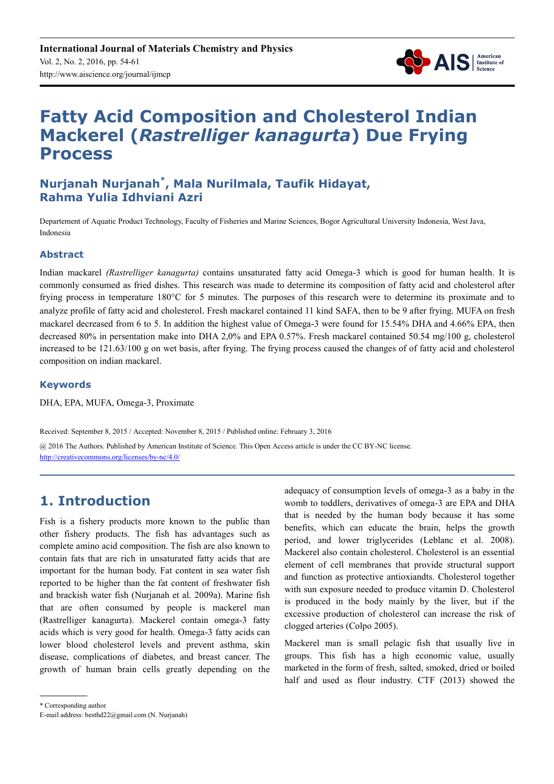

# **Fatty Acid Composition and Cholesterol Indian Mackerel (***Rastrelliger kanagurta***) Due Frying Process**

### **Nurjanah Nurjanah\* , Mala Nurilmala, Taufik Hidayat, Rahma Yulia Idhviani Azri**

Departement of Aquatic Product Technology, Faculty of Fisheries and Marine Sciences, Bogor Agricultural University Indonesia, West Java, Indonesia

### **Abstract**

Indian mackarel *(Rastrelliger kanagurta)* contains unsaturated fatty acid Omega-3 which is good for human health. It is commonly consumed as fried dishes. This research was made to determine its composition of fatty acid and cholesterol after frying process in temperature 180°C for 5 minutes. The purposes of this research were to determine its proximate and to analyze profile of fatty acid and cholesterol. Fresh mackarel contained 11 kind SAFA, then to be 9 after frying. MUFA on fresh mackarel decreased from 6 to 5. In addition the highest value of Omega-3 were found for 15.54% DHA and 4.66% EPA, then decreased 80% in persentation make into DHA 2,0% and EPA 0.57%. Fresh mackarel contained 50.54 mg/100 g, cholesterol increased to be 121.63/100 g on wet basis, after frying. The frying process caused the changes of of fatty acid and cholesterol composition on indian mackarel.

### **Keywords**

DHA, EPA, MUFA, Omega-3, Proximate

Received: September 8, 2015 / Accepted: November 8, 2015 / Published online: February 3, 2016

@ 2016 The Authors. Published by American Institute of Science. This Open Access article is under the CC BY-NC license. http://creativecommons.org/licenses/by-nc/4.0/

### **1. Introduction**

Fish is a fishery products more known to the public than other fishery products. The fish has advantages such as complete amino acid composition. The fish are also known to contain fats that are rich in unsaturated fatty acids that are important for the human body. Fat content in sea water fish reported to be higher than the fat content of freshwater fish and brackish water fish (Nurjanah et al. 2009a). Marine fish that are often consumed by people is mackerel man (Rastrelliger kanagurta). Mackerel contain omega-3 fatty acids which is very good for health. Omega-3 fatty acids can lower blood cholesterol levels and prevent asthma, skin disease, complications of diabetes, and breast cancer. The growth of human brain cells greatly depending on the adequacy of consumption levels of omega-3 as a baby in the womb to toddlers, derivatives of omega-3 are EPA and DHA that is needed by the human body because it has some benefits, which can educate the brain, helps the growth period, and lower triglycerides (Leblanc et al. 2008). Mackerel also contain cholesterol. Cholesterol is an essential element of cell membranes that provide structural support and function as protective antioxiandts. Cholesterol together with sun exposure needed to produce vitamin D. Cholesterol is produced in the body mainly by the liver, but if the excessive production of cholesterol can increase the risk of clogged arteries (Colpo 2005).

Mackerel man is small pelagic fish that usually live in groups. This fish has a high economic value, usually marketed in the form of fresh, salted, smoked, dried or boiled half and used as flour industry. CTF (2013) showed the

\* Corresponding author

E-mail address: besthd22@gmail.com (N. Nurjanah)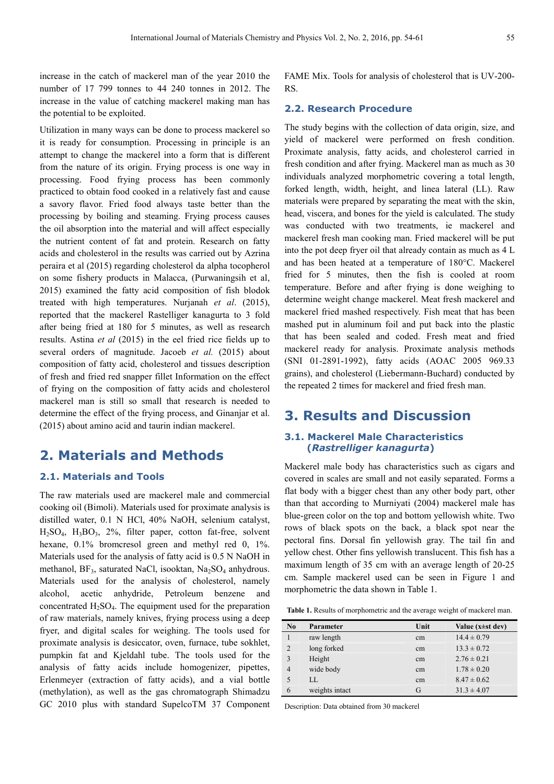increase in the catch of mackerel man of the year 2010 the number of 17 799 tonnes to 44 240 tonnes in 2012. The increase in the value of catching mackerel making man has the potential to be exploited.

Utilization in many ways can be done to process mackerel so it is ready for consumption. Processing in principle is an attempt to change the mackerel into a form that is different from the nature of its origin. Frying process is one way in processing. Food frying process has been commonly practiced to obtain food cooked in a relatively fast and cause a savory flavor. Fried food always taste better than the processing by boiling and steaming. Frying process causes the oil absorption into the material and will affect especially the nutrient content of fat and protein. Research on fatty acids and cholesterol in the results was carried out by Azrina peraira et al (2015) regarding cholesterol da alpha tocopherol on some fishery products in Malacca, (Purwaningsih et al, 2015) examined the fatty acid composition of fish blodok treated with high temperatures. Nurjanah *et al*. (2015), reported that the mackerel Rastelliger kanagurta to 3 fold after being fried at 180 for 5 minutes, as well as research results. Astina *et al* (2015) in the eel fried rice fields up to several orders of magnitude. Jacoeb *et al.* (2015) about composition of fatty acid, cholesterol and tissues description of fresh and fried red snapper fillet Information on the effect of frying on the composition of fatty acids and cholesterol mackerel man is still so small that research is needed to determine the effect of the frying process, and Ginanjar et al. (2015) about amino acid and taurin indian mackerel.

### **2. Materials and Methods**

### **2.1. Materials and Tools**

The raw materials used are mackerel male and commercial cooking oil (Bimoli). Materials used for proximate analysis is distilled water, 0.1 N HCl, 40% NaOH, selenium catalyst,  $H<sub>2</sub>SO<sub>4</sub>$ ,  $H<sub>3</sub>BO<sub>3</sub>$ ,  $2\%$ , filter paper, cotton fat-free, solvent hexane, 0.1% bromcresol green and methyl red 0, 1%. Materials used for the analysis of fatty acid is 0.5 N NaOH in methanol, BF<sub>3</sub>, saturated NaCl, isooktan, Na<sub>2</sub>SO<sub>4</sub> anhydrous. Materials used for the analysis of cholesterol, namely alcohol, acetic anhydride, Petroleum benzene and concentrated  $H_2SO_4$ . The equipment used for the preparation of raw materials, namely knives, frying process using a deep fryer, and digital scales for weighing. The tools used for proximate analysis is desiccator, oven, furnace, tube sokhlet, pumpkin fat and Kjeldahl tube. The tools used for the analysis of fatty acids include homogenizer, pipettes, Erlenmeyer (extraction of fatty acids), and a vial bottle (methylation), as well as the gas chromatograph Shimadzu GC 2010 plus with standard SupelcoTM 37 Component FAME Mix. Tools for analysis of cholesterol that is UV-200- RS.

#### **2.2. Research Procedure**

The study begins with the collection of data origin, size, and yield of mackerel were performed on fresh condition. Proximate analysis, fatty acids, and cholesterol carried in fresh condition and after frying. Mackerel man as much as 30 individuals analyzed morphometric covering a total length, forked length, width, height, and linea lateral (LL). Raw materials were prepared by separating the meat with the skin, head, viscera, and bones for the yield is calculated. The study was conducted with two treatments, ie mackerel and mackerel fresh man cooking man. Fried mackerel will be put into the pot deep fryer oil that already contain as much as 4 L and has been heated at a temperature of 180°C. Mackerel fried for 5 minutes, then the fish is cooled at room temperature. Before and after frying is done weighing to determine weight change mackerel. Meat fresh mackerel and mackerel fried mashed respectively. Fish meat that has been mashed put in aluminum foil and put back into the plastic that has been sealed and coded. Fresh meat and fried mackerel ready for analysis. Proximate analysis methods (SNI 01-2891-1992), fatty acids (AOAC 2005 969.33 grains), and cholesterol (Liebermann-Buchard) conducted by the repeated 2 times for mackerel and fried fresh man.

## **3. Results and Discussion**

### **3.1. Mackerel Male Characteristics (***Rastrelliger kanagurta***)**

Mackerel male body has characteristics such as cigars and covered in scales are small and not easily separated. Forms a flat body with a bigger chest than any other body part, other than that according to Murniyati (2004) mackerel male has blue-green color on the top and bottom yellowish white. Two rows of black spots on the back, a black spot near the pectoral fins. Dorsal fin yellowish gray. The tail fin and yellow chest. Other fins yellowish translucent. This fish has a maximum length of 35 cm with an average length of 20-25 cm. Sample mackerel used can be seen in Figure 1 and morphometric the data shown in Table 1.

| No           | Parameter      | Unit | Value $(x \pm st \text{ dev})$ |
|--------------|----------------|------|--------------------------------|
|              | raw length     | cm   | $14.4 \pm 0.79$                |
| 2            | long forked    | cm   | $13.3 \pm 0.72$                |
| $\mathbf{3}$ | Height         | cm   | $2.76 \pm 0.21$                |
| 4            | wide body      | cm   | $1.78 \pm 0.20$                |
| $\sim$       | LL.            | cm   | $8.47 \pm 0.62$                |
| 6            | weights intact | G    | $31.3 \pm 4.07$                |

Description: Data obtained from 30 mackerel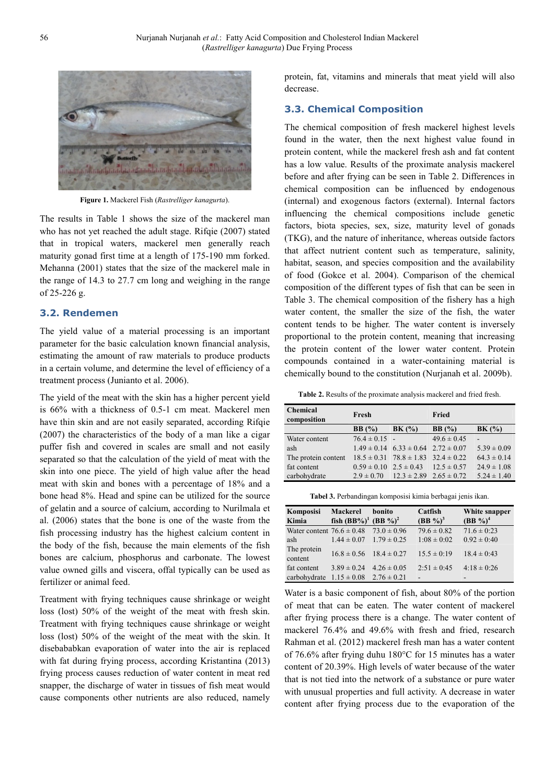

**Figure 1.** Mackerel Fish (*Rastrelliger kanagurta*).

The results in Table 1 shows the size of the mackerel man who has not yet reached the adult stage. Rifqie (2007) stated that in tropical waters, mackerel men generally reach maturity gonad first time at a length of 175-190 mm forked. Mehanna (2001) states that the size of the mackerel male in the range of 14.3 to 27.7 cm long and weighing in the range of 25-226 g.

### **3.2. Rendemen**

The yield value of a material processing is an important parameter for the basic calculation known financial analysis, estimating the amount of raw materials to produce products in a certain volume, and determine the level of efficiency of a treatment process (Junianto et al. 2006).

The yield of the meat with the skin has a higher percent yield is 66% with a thickness of 0.5-1 cm meat. Mackerel men have thin skin and are not easily separated, according Rifqie (2007) the characteristics of the body of a man like a cigar puffer fish and covered in scales are small and not easily separated so that the calculation of the yield of meat with the skin into one piece. The yield of high value after the head meat with skin and bones with a percentage of 18% and a bone head 8%. Head and spine can be utilized for the source of gelatin and a source of calcium, according to Nurilmala et al. (2006) states that the bone is one of the waste from the fish processing industry has the highest calcium content in the body of the fish, because the main elements of the fish bones are calcium, phosphorus and carbonate. The lowest value owned gills and viscera, offal typically can be used as fertilizer or animal feed.

Treatment with frying techniques cause shrinkage or weight loss (lost) 50% of the weight of the meat with fresh skin. Treatment with frying techniques cause shrinkage or weight loss (lost) 50% of the weight of the meat with the skin. It disebababkan evaporation of water into the air is replaced with fat during frying process, according Kristantina (2013) frying process causes reduction of water content in meat red snapper, the discharge of water in tissues of fish meat would cause components other nutrients are also reduced, namely

protein, fat, vitamins and minerals that meat yield will also decrease.

#### **3.3. Chemical Composition**

The chemical composition of fresh mackerel highest levels found in the water, then the next highest value found in protein content, while the mackerel fresh ash and fat content has a low value. Results of the proximate analysis mackerel before and after frying can be seen in Table 2. Differences in chemical composition can be influenced by endogenous (internal) and exogenous factors (external). Internal factors influencing the chemical compositions include genetic factors, biota species, sex, size, maturity level of gonads (TKG), and the nature of inheritance, whereas outside factors that affect nutrient content such as temperature, salinity, habitat, season, and species composition and the availability of food (Gokce et al. 2004). Comparison of the chemical composition of the different types of fish that can be seen in Table 3. The chemical composition of the fishery has a high water content, the smaller the size of the fish, the water content tends to be higher. The water content is inversely proportional to the protein content, meaning that increasing the protein content of the lower water content. Protein compounds contained in a water-containing material is chemically bound to the constitution (Nurjanah et al. 2009b).

**Table 2.** Results of the proximate analysis mackerel and fried fresh.

| <b>Chemical</b><br>composition | Fresh             |                                                 | Fried           |                 |
|--------------------------------|-------------------|-------------------------------------------------|-----------------|-----------------|
|                                | BB(%)             | BK(%)                                           | BB(%)           | BK(%)           |
| Water content                  | $76.4 \pm 0.15$ - |                                                 | $49.6 \pm 0.45$ |                 |
| ash                            |                   | $1.49 \pm 0.14$ 6.33 $\pm$ 0.64 2.72 $\pm$ 0.07 |                 | $5.39 \pm 0.09$ |
| The protein content            |                   | $18.5 \pm 0.31$ $78.8 \pm 1.83$ $32.4 \pm 0.22$ |                 | $64.3 \pm 0.14$ |
| fat content                    |                   | $0.59 \pm 0.10$ $2.5 \pm 0.43$ $12.5 \pm 0.57$  |                 | $24.9 \pm 1.08$ |
| carbohydrate                   |                   | $2.9 \pm 0.70$ $12.3 \pm 2.89$ $2.65 \pm 0.72$  |                 | $5.24 \pm 1.40$ |

**Tabel 3.** Perbandingan komposisi kimia berbagai jenis ikan.

| <b>Mackerel</b>               | bonito                             | Catfish                                                                                                                | White snapper                          |
|-------------------------------|------------------------------------|------------------------------------------------------------------------------------------------------------------------|----------------------------------------|
|                               |                                    |                                                                                                                        | (BB %) <sup>4</sup>                    |
| Water content $76.6 \pm 0.48$ | $73.0 \pm 0.96$                    | $79.6 \pm 0.82$                                                                                                        | $71.6 \pm 0.23$                        |
| $1.44 \pm 0.07$               |                                    | $1:08 \pm 0:02$                                                                                                        | $0.92 \pm 0.40$                        |
|                               |                                    | $15.5 \pm 0.19$                                                                                                        | $18.4 \pm 0.43$                        |
|                               |                                    |                                                                                                                        | $4:18 \pm 0:26$                        |
|                               |                                    |                                                                                                                        |                                        |
|                               | $3.89 \pm 0.24$<br>$1.15 \pm 0.08$ | fish $(BB\%)^1$ $(BB\%)^2$<br>$1.79 \pm 0.25$<br>$16.8 \pm 0.56$ $18.4 \pm 0.27$<br>$4.26 \pm 0.05$<br>$2.76 \pm 0.21$ | (BB %) <sup>3</sup><br>$2:51 \pm 0:45$ |

Water is a basic component of fish, about 80% of the portion of meat that can be eaten. The water content of mackerel after frying process there is a change. The water content of mackerel 76.4% and 49.6% with fresh and fried, research Rahman et al. (2012) mackerel fresh man has a water content of 76.6% after frying duhu 180°C for 15 minutes has a water content of 20.39%. High levels of water because of the water that is not tied into the network of a substance or pure water with unusual properties and full activity. A decrease in water content after frying process due to the evaporation of the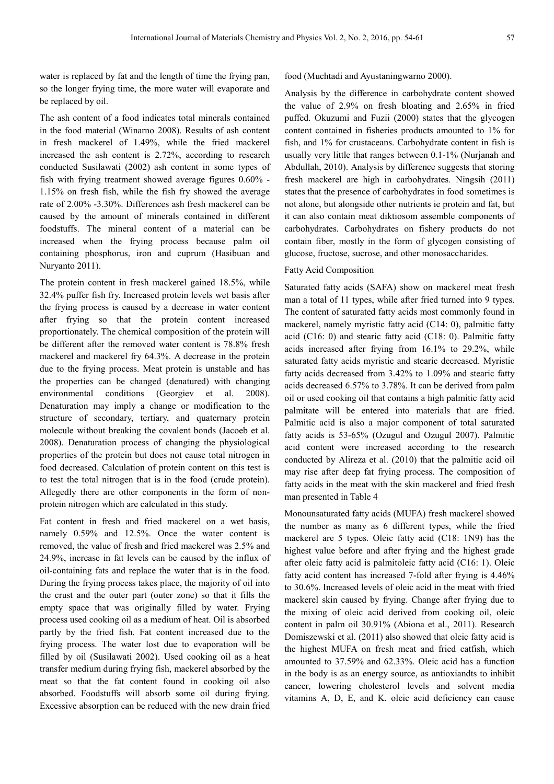water is replaced by fat and the length of time the frying pan, so the longer frying time, the more water will evaporate and be replaced by oil.

The ash content of a food indicates total minerals contained in the food material (Winarno 2008). Results of ash content in fresh mackerel of 1.49%, while the fried mackerel increased the ash content is 2.72%, according to research conducted Susilawati (2002) ash content in some types of fish with frying treatment showed average figures 0.60% - 1.15% on fresh fish, while the fish fry showed the average rate of 2.00% -3.30%. Differences ash fresh mackerel can be caused by the amount of minerals contained in different foodstuffs. The mineral content of a material can be increased when the frying process because palm oil containing phosphorus, iron and cuprum (Hasibuan and Nuryanto 2011).

The protein content in fresh mackerel gained 18.5%, while 32.4% puffer fish fry. Increased protein levels wet basis after the frying process is caused by a decrease in water content after frying so that the protein content increased proportionately. The chemical composition of the protein will be different after the removed water content is 78.8% fresh mackerel and mackerel fry 64.3%. A decrease in the protein due to the frying process. Meat protein is unstable and has the properties can be changed (denatured) with changing environmental conditions (Georgiev et al. 2008). Denaturation may imply a change or modification to the structure of secondary, tertiary, and quaternary protein molecule without breaking the covalent bonds (Jacoeb et al. 2008). Denaturation process of changing the physiological properties of the protein but does not cause total nitrogen in food decreased. Calculation of protein content on this test is to test the total nitrogen that is in the food (crude protein). Allegedly there are other components in the form of nonprotein nitrogen which are calculated in this study.

Fat content in fresh and fried mackerel on a wet basis, namely 0.59% and 12.5%. Once the water content is removed, the value of fresh and fried mackerel was 2.5% and 24.9%, increase in fat levels can be caused by the influx of oil-containing fats and replace the water that is in the food. During the frying process takes place, the majority of oil into the crust and the outer part (outer zone) so that it fills the empty space that was originally filled by water. Frying process used cooking oil as a medium of heat. Oil is absorbed partly by the fried fish. Fat content increased due to the frying process. The water lost due to evaporation will be filled by oil (Susilawati 2002). Used cooking oil as a heat transfer medium during frying fish, mackerel absorbed by the meat so that the fat content found in cooking oil also absorbed. Foodstuffs will absorb some oil during frying. Excessive absorption can be reduced with the new drain fried

food (Muchtadi and Ayustaningwarno 2000).

Analysis by the difference in carbohydrate content showed the value of 2.9% on fresh bloating and 2.65% in fried puffed. Okuzumi and Fuzii (2000) states that the glycogen content contained in fisheries products amounted to 1% for fish, and 1% for crustaceans. Carbohydrate content in fish is usually very little that ranges between 0.1-1% (Nurjanah and Abdullah, 2010). Analysis by difference suggests that storing fresh mackerel are high in carbohydrates. Ningsih (2011) states that the presence of carbohydrates in food sometimes is not alone, but alongside other nutrients ie protein and fat, but it can also contain meat diktiosom assemble components of carbohydrates. Carbohydrates on fishery products do not contain fiber, mostly in the form of glycogen consisting of glucose, fructose, sucrose, and other monosaccharides.

#### Fatty Acid Composition

Saturated fatty acids (SAFA) show on mackerel meat fresh man a total of 11 types, while after fried turned into 9 types. The content of saturated fatty acids most commonly found in mackerel, namely myristic fatty acid (C14: 0), palmitic fatty acid (C16: 0) and stearic fatty acid (C18: 0). Palmitic fatty acids increased after frying from 16.1% to 29.2%, while saturated fatty acids myristic and stearic decreased. Myristic fatty acids decreased from 3.42% to 1.09% and stearic fatty acids decreased 6.57% to 3.78%. It can be derived from palm oil or used cooking oil that contains a high palmitic fatty acid palmitate will be entered into materials that are fried. Palmitic acid is also a major component of total saturated fatty acids is 53-65% (Ozugul and Ozugul 2007). Palmitic acid content were increased according to the research conducted by Alireza et al. (2010) that the palmitic acid oil may rise after deep fat frying process. The composition of fatty acids in the meat with the skin mackerel and fried fresh man presented in Table 4

Monounsaturated fatty acids (MUFA) fresh mackerel showed the number as many as 6 different types, while the fried mackerel are 5 types. Oleic fatty acid (C18: 1N9) has the highest value before and after frying and the highest grade after oleic fatty acid is palmitoleic fatty acid (C16: 1). Oleic fatty acid content has increased 7-fold after frying is 4.46% to 30.6%. Increased levels of oleic acid in the meat with fried mackerel skin caused by frying. Change after frying due to the mixing of oleic acid derived from cooking oil, oleic content in palm oil 30.91% (Abiona et al., 2011). Research Domiszewski et al. (2011) also showed that oleic fatty acid is the highest MUFA on fresh meat and fried catfish, which amounted to 37.59% and 62.33%. Oleic acid has a function in the body is as an energy source, as antioxiandts to inhibit cancer, lowering cholesterol levels and solvent media vitamins A, D, E, and K. oleic acid deficiency can cause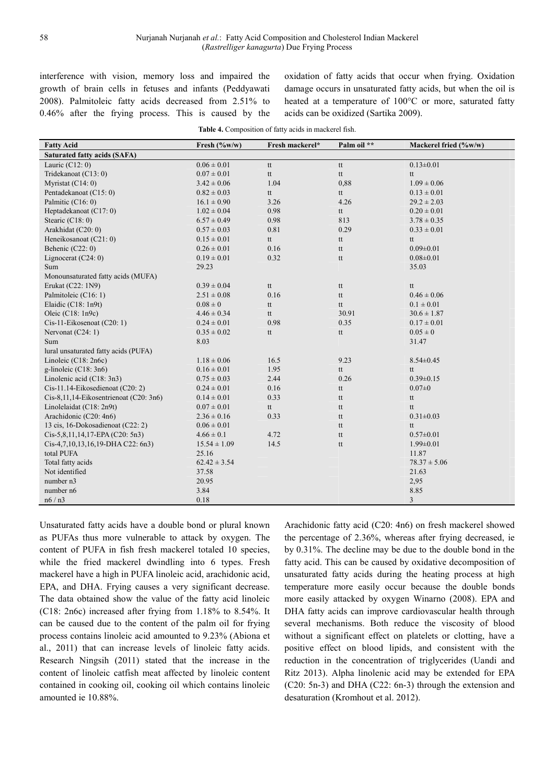interference with vision, memory loss and impaired the growth of brain cells in fetuses and infants (Peddyawati 2008). Palmitoleic fatty acids decreased from 2.51% to 0.46% after the frying process. This is caused by the oxidation of fatty acids that occur when frying. Oxidation damage occurs in unsaturated fatty acids, but when the oil is heated at a temperature of 100°C or more, saturated fatty acids can be oxidized (Sartika 2009).

| <b>Fatty Acid</b>                      | Fresh (%w/w)     | Fresh mackerel* | Palm oil **                        | Mackerel fried (%w/w) |  |  |  |
|----------------------------------------|------------------|-----------------|------------------------------------|-----------------------|--|--|--|
| <b>Saturated fatty acids (SAFA)</b>    |                  |                 |                                    |                       |  |  |  |
| Lauric $(C12:0)$                       | $0.06 \pm 0.01$  | tt              | tt                                 | $0.13 \pm 0.01$       |  |  |  |
| Tridekanoat (C13: 0)                   | $0.07 \pm 0.01$  | tt              | tt                                 | tt                    |  |  |  |
| Myristat (C14: 0)                      | $3.42 \pm 0.06$  | 1.04            | 0,88                               | $1.09 \pm 0.06$       |  |  |  |
| Pentadekanoat (C15: 0)                 | $0.82 \pm 0.03$  | tt              | tt                                 | $0.13 \pm 0.01$       |  |  |  |
| Palmitic (C16: 0)                      | $16.1 \pm 0.90$  | 3.26            | 4.26                               | $29.2 \pm 2.03$       |  |  |  |
| Heptadekanoat (C17: 0)                 | $1.02 \pm 0.04$  | 0.98            | tt                                 | $0.20 \pm 0.01$       |  |  |  |
| Stearic $(C18:0)$                      | $6.57 \pm 0.49$  | 0.98            | 813                                | $3.78 \pm 0.35$       |  |  |  |
| Arakhidat (C20: 0)                     | $0.57 \pm 0.03$  | 0.81            | 0.29                               | $0.33 \pm 0.01$       |  |  |  |
| Heneikosanoat (C21: 0)                 | $0.15 \pm 0.01$  | tt              | tt                                 | tt                    |  |  |  |
| Behenic $(C22:0)$                      | $0.26 \pm 0.01$  | 0.16            | tt                                 | $0.09 \pm 0.01$       |  |  |  |
| Lignocerat $(C24:0)$                   | $0.19 \pm 0.01$  | 0.32            | tt                                 | $0.08 \pm 0.01$       |  |  |  |
| Sum                                    | 29.23            |                 |                                    | 35.03                 |  |  |  |
| Monounsaturated fatty acids (MUFA)     |                  |                 |                                    |                       |  |  |  |
| Erukat (C22: 1N9)                      | $0.39 \pm 0.04$  | tt              | tt                                 | tt                    |  |  |  |
| Palmitoleic (C16: 1)                   | $2.51 \pm 0.08$  | 0.16            | tt                                 | $0.46 \pm 0.06$       |  |  |  |
| Elaidic (C18: 1n9t)                    | $0.08 \pm 0$     | tt              | $\ensuremath{\operatorname{t\!t}}$ | $0.1 \pm 0.01$        |  |  |  |
| Oleic $(C18:1n9c)$                     | $4.46 \pm 0.34$  | tt              | 30.91                              | $30.6 \pm 1.87$       |  |  |  |
| Cis-11-Eikosenoat (C20: 1)             | $0.24 \pm 0.01$  | 0.98            | 0.35                               | $0.17 \pm 0.01$       |  |  |  |
| Nervonat $(C24:1)$                     | $0.35 \pm 0.02$  | tt              | tt                                 | $0.05 \pm 0$          |  |  |  |
| Sum                                    | 8.03             |                 |                                    | 31.47                 |  |  |  |
| lural unsaturated fatty acids (PUFA)   |                  |                 |                                    |                       |  |  |  |
| Linoleic $(C18:2n6c)$                  | $1.18 \pm 0.06$  | 16.5            | 9.23                               | $8.54 \pm 0.45$       |  |  |  |
| g-linoleic $(C18:3n6)$                 | $0.16 \pm 0.01$  | 1.95            | tt                                 | tt                    |  |  |  |
| Linolenic acid (C18: 3n3)              | $0.75 \pm 0.03$  | 2.44            | 0.26                               | $0.39 \pm 0.15$       |  |  |  |
| Cis-11.14-Eikosedienoat (C20: 2)       | $0.24 \pm 0.01$  | 0.16            | tt                                 | $0.07 \pm 0$          |  |  |  |
| Cis-8,11,14-Eikosentrienoat (C20: 3n6) | $0.14 \pm 0.01$  | 0.33            | tt                                 | tt                    |  |  |  |
| Linolelaidat (C18: 2n9t)               | $0.07 \pm 0.01$  | tt              | tt                                 | tt                    |  |  |  |
| Arachidonic (C20: 4n6)                 | $2.36 \pm 0.16$  | 0.33            | tt                                 | $0.31 \pm 0.03$       |  |  |  |
| 13 cis, 16-Dokosadienoat (C22: 2)      | $0.06 \pm 0.01$  |                 | tt                                 | tt                    |  |  |  |
| $Cis-5,8,11,14,17-EPA (C20:5n3)$       | $4.66 \pm 0.1$   | 4.72            | tt                                 | $0.57 \pm 0.01$       |  |  |  |
| $Cis-4,7,10,13,16,19-DHA C22: 6n3)$    | $15.54 \pm 1.09$ | 14.5            | tt                                 | $1.99 \pm 0.01$       |  |  |  |
| total PUFA                             | 25.16            |                 |                                    | 11.87                 |  |  |  |
| Total fatty acids                      | $62.42 \pm 3.54$ |                 |                                    | $78.37 \pm 5.06$      |  |  |  |
| Not identified                         | 37.58            |                 |                                    | 21.63                 |  |  |  |
| number n3                              | 20.95            |                 |                                    | 2,95                  |  |  |  |
| number n6                              | 3.84             |                 |                                    | 8.85                  |  |  |  |
| n6/n3                                  | $0.18\,$         |                 |                                    | 3                     |  |  |  |

**Table 4.** Composition of fatty acids in mackerel fish.

Unsaturated fatty acids have a double bond or plural known as PUFAs thus more vulnerable to attack by oxygen. The content of PUFA in fish fresh mackerel totaled 10 species, while the fried mackerel dwindling into 6 types. Fresh mackerel have a high in PUFA linoleic acid, arachidonic acid, EPA, and DHA. Frying causes a very significant decrease. The data obtained show the value of the fatty acid linoleic (C18: 2n6c) increased after frying from 1.18% to 8.54%. It can be caused due to the content of the palm oil for frying process contains linoleic acid amounted to 9.23% (Abiona et al., 2011) that can increase levels of linoleic fatty acids. Research Ningsih (2011) stated that the increase in the content of linoleic catfish meat affected by linoleic content contained in cooking oil, cooking oil which contains linoleic amounted ie 10.88%.

Arachidonic fatty acid (C20: 4n6) on fresh mackerel showed the percentage of 2.36%, whereas after frying decreased, ie by 0.31%. The decline may be due to the double bond in the fatty acid. This can be caused by oxidative decomposition of unsaturated fatty acids during the heating process at high temperature more easily occur because the double bonds more easily attacked by oxygen Winarno (2008). EPA and DHA fatty acids can improve cardiovascular health through several mechanisms. Both reduce the viscosity of blood without a significant effect on platelets or clotting, have a positive effect on blood lipids, and consistent with the reduction in the concentration of triglycerides (Uandi and Ritz 2013). Alpha linolenic acid may be extended for EPA (C20: 5n-3) and DHA (C22: 6n-3) through the extension and desaturation (Kromhout et al. 2012).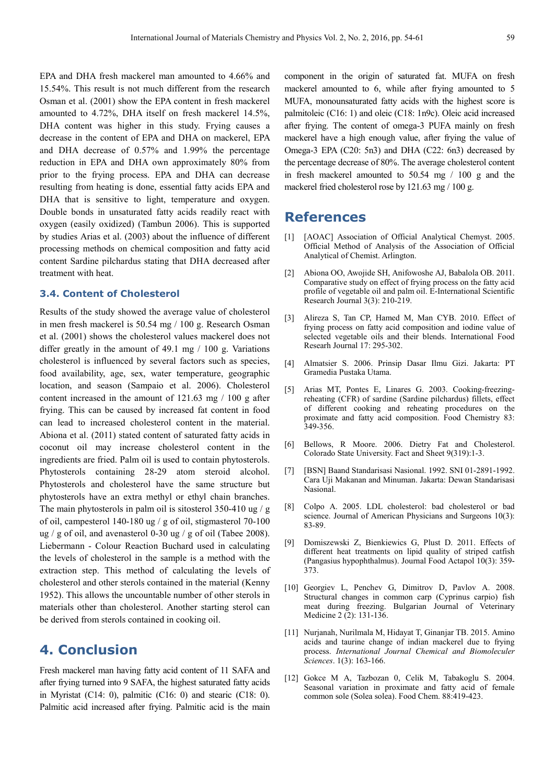EPA and DHA fresh mackerel man amounted to 4.66% and 15.54%. This result is not much different from the research Osman et al. (2001) show the EPA content in fresh mackerel amounted to 4.72%, DHA itself on fresh mackerel 14.5%, DHA content was higher in this study. Frying causes a decrease in the content of EPA and DHA on mackerel, EPA and DHA decrease of 0.57% and 1.99% the percentage reduction in EPA and DHA own approximately 80% from prior to the frying process. EPA and DHA can decrease resulting from heating is done, essential fatty acids EPA and DHA that is sensitive to light, temperature and oxygen. Double bonds in unsaturated fatty acids readily react with oxygen (easily oxidized) (Tambun 2006). This is supported by studies Arias et al. (2003) about the influence of different processing methods on chemical composition and fatty acid content Sardine pilchardus stating that DHA decreased after treatment with heat.

### **3.4. Content of Cholesterol**

Results of the study showed the average value of cholesterol in men fresh mackerel is 50.54 mg / 100 g. Research Osman et al. (2001) shows the cholesterol values mackerel does not differ greatly in the amount of 49.1 mg / 100 g. Variations cholesterol is influenced by several factors such as species, food availability, age, sex, water temperature, geographic location, and season (Sampaio et al. 2006). Cholesterol content increased in the amount of 121.63 mg / 100 g after frying. This can be caused by increased fat content in food can lead to increased cholesterol content in the material. Abiona et al. (2011) stated content of saturated fatty acids in coconut oil may increase cholesterol content in the ingredients are fried. Palm oil is used to contain phytosterols. Phytosterols containing 28-29 atom steroid alcohol. Phytosterols and cholesterol have the same structure but phytosterols have an extra methyl or ethyl chain branches. The main phytosterols in palm oil is sitosterol 350-410 ug / g of oil, campesterol 140-180 ug / g of oil, stigmasterol 70-100 ug / g of oil, and avenasterol 0-30 ug / g of oil (Tabee 2008). Liebermann - Colour Reaction Buchard used in calculating the levels of cholesterol in the sample is a method with the extraction step. This method of calculating the levels of cholesterol and other sterols contained in the material (Kenny 1952). This allows the uncountable number of other sterols in materials other than cholesterol. Another starting sterol can be derived from sterols contained in cooking oil.

## **4. Conclusion**

Fresh mackerel man having fatty acid content of 11 SAFA and after frying turned into 9 SAFA, the highest saturated fatty acids in Myristat (C14: 0), palmitic (C16: 0) and stearic (C18: 0). Palmitic acid increased after frying. Palmitic acid is the main component in the origin of saturated fat. MUFA on fresh mackerel amounted to 6, while after frying amounted to 5 MUFA, monounsaturated fatty acids with the highest score is palmitoleic (C16: 1) and oleic (C18: 1n9c). Oleic acid increased after frying. The content of omega-3 PUFA mainly on fresh mackerel have a high enough value, after frying the value of Omega-3 EPA (C20: 5n3) and DHA (C22: 6n3) decreased by the percentage decrease of 80%. The average cholesterol content in fresh mackerel amounted to 50.54 mg / 100 g and the mackerel fried cholesterol rose by 121.63 mg / 100 g.

### **References**

- [1] [AOAC] Association of Official Analytical Chemyst. 2005. Official Method of Analysis of the Association of Official Analytical of Chemist. Arlington.
- [2] Abiona OO, Awojide SH, Anifowoshe AJ, Babalola OB. 2011. Comparative study on effect of frying process on the fatty acid profile of vegetable oil and palm oil. E-International Scientific Research Journal 3(3): 210-219.
- [3] Alireza S, Tan CP, Hamed M, Man CYB. 2010. Effect of frying process on fatty acid composition and iodine value of selected vegetable oils and their blends. International Food Researh Journal 17: 295-302.
- [4] Almatsier S. 2006. Prinsip Dasar Ilmu Gizi. Jakarta: PT Gramedia Pustaka Utama.
- [5] Arias MT, Pontes E, Linares G. 2003. Cooking-freezingreheating (CFR) of sardine (Sardine pilchardus) fillets, effect of different cooking and reheating procedures on the proximate and fatty acid composition. Food Chemistry 83: 349-356.
- [6] Bellows, R Moore. 2006. Dietry Fat and Cholesterol. Colorado State University. Fact and Sheet 9(319):1-3.
- [7] [BSN] Baand Standarisasi Nasional. 1992. SNI 01-2891-1992. Cara Uji Makanan and Minuman. Jakarta: Dewan Standarisasi Nasional.
- [8] Colpo A. 2005. LDL cholesterol: bad cholesterol or bad science. Journal of American Physicians and Surgeons 10(3): 83-89.
- [9] Domiszewski Z, Bienkiewics G, Plust D. 2011. Effects of different heat treatments on lipid quality of striped catfish (Pangasius hypophthalmus). Journal Food Actapol 10(3): 359- 373.
- [10] Georgiev L, Penchev G, Dimitrov D, Pavlov A. 2008. Structural changes in common carp (Cyprinus carpio) fish meat during freezing. Bulgarian Journal of Veterinary Medicine 2 (2): 131-136.
- [11] Nurjanah, Nurilmala M, Hidayat T, Ginanjar TB. 2015. Amino acids and taurine change of indian mackerel due to frying process. *International Journal Chemical and Biomoleculer Sciences*. 1(3): 163-166.
- [12] Gokce M A, Tazbozan 0, Celik M, Tabakoglu S. 2004. Seasonal variation in proximate and fatty acid of female common sole (Solea solea). Food Chem. 88:419-423.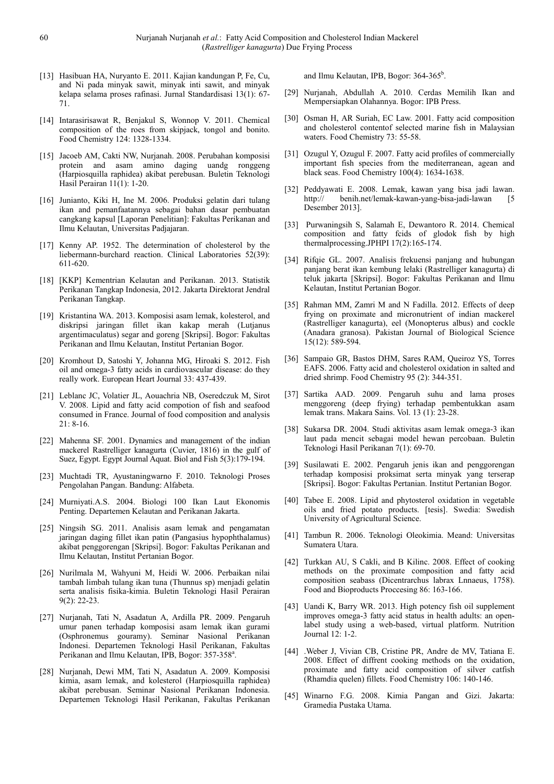- [13] Hasibuan HA, Nuryanto E. 2011. Kajian kandungan P, Fe, Cu, and Ni pada minyak sawit, minyak inti sawit, and minyak kelapa selama proses rafinasi. Jurnal Standardisasi 13(1): 67- 71.
- [14] Intarasirisawat R, Benjakul S, Wonnop V. 2011. Chemical composition of the roes from skipjack, tongol and bonito. Food Chemistry 124: 1328-1334.
- [15] Jacoeb AM, Cakti NW, Nurjanah. 2008. Perubahan komposisi protein and asam amino daging uandg ronggeng (Harpiosquilla raphidea) akibat perebusan. Buletin Teknologi Hasil Perairan 11(1): 1-20.
- [16] Junianto, Kiki H, Ine M. 2006. Produksi gelatin dari tulang ikan and pemanfaatannya sebagai bahan dasar pembuatan cangkang kapsul [Laporan Penelitian]: Fakultas Perikanan and Ilmu Kelautan, Universitas Padjajaran.
- [17] Kenny AP. 1952. The determination of cholesterol by the liebermann-burchard reaction. Clinical Laboratories 52(39): 611-620.
- [18] [KKP] Kementrian Kelautan and Perikanan. 2013. Statistik Perikanan Tangkap Indonesia, 2012. Jakarta Direktorat Jendral Perikanan Tangkap.
- [19] Kristantina WA. 2013. Komposisi asam lemak, kolesterol, and diskripsi jaringan fillet ikan kakap merah (Lutjanus argentimaculatus) segar and goreng [Skripsi]. Bogor: Fakultas Perikanan and Ilmu Kelautan, Institut Pertanian Bogor.
- [20] Kromhout D, Satoshi Y, Johanna MG, Hiroaki S. 2012. Fish oil and omega-3 fatty acids in cardiovascular disease: do they really work. European Heart Journal 33: 437-439.
- [21] Leblanc JC, Volatier JL, Aouachria NB, Oseredczuk M, Sirot V. 2008. Lipid and fatty acid compotion of fish and seafood consumed in France. Journal of food composition and analysis 21: 8-16.
- [22] Mahenna SF. 2001. Dynamics and management of the indian mackerel Rastrelliger kanagurta (Cuvier, 1816) in the gulf of Suez, Egypt. Egypt Journal Aquat. Biol and Fish 5(3):179-194.
- [23] Muchtadi TR, Ayustaningwarno F. 2010. Teknologi Proses Pengolahan Pangan. Bandung: Alfabeta.
- [24] Murniyati.A.S. 2004. Biologi 100 Ikan Laut Ekonomis Penting. Departemen Kelautan and Perikanan Jakarta.
- [25] Ningsih SG. 2011. Analisis asam lemak and pengamatan jaringan daging fillet ikan patin (Pangasius hypophthalamus) akibat penggorengan [Skripsi]. Bogor: Fakultas Perikanan and Ilmu Kelautan, Institut Pertanian Bogor.
- [26] Nurilmala M, Wahyuni M, Heidi W. 2006. Perbaikan nilai tambah limbah tulang ikan tuna (Thunnus sp) menjadi gelatin serta analisis fisika-kimia. Buletin Teknologi Hasil Perairan 9(2): 22-23.
- [27] Nurjanah, Tati N, Asadatun A, Ardilla PR. 2009. Pengaruh umur panen terhadap komposisi asam lemak ikan gurami (Osphronemus gouramy). Seminar Nasional Perikanan Indonesi. Departemen Teknologi Hasil Perikanan, Fakultas Perikanan and Ilmu Kelautan, IPB, Bogor: 357-358<sup>a</sup>.
- [28] Nurjanah, Dewi MM, Tati N, Asadatun A. 2009. Komposisi kimia, asam lemak, and kolesterol (Harpiosquilla raphidea) akibat perebusan. Seminar Nasional Perikanan Indonesia. Departemen Teknologi Hasil Perikanan, Fakultas Perikanan

and Ilmu Kelautan, IPB, Bogor: 364-365<sup>b</sup>.

- [29] Nurjanah, Abdullah A. 2010. Cerdas Memilih Ikan and Mempersiapkan Olahannya. Bogor: IPB Press.
- [30] Osman H, AR Suriah, EC Law. 2001. Fatty acid composition and cholesterol contentof selected marine fish in Malaysian waters. Food Chemistry 73: 55-58.
- [31] Ozugul Y, Ozugul F. 2007. Fatty acid profiles of commercially important fish species from the mediterranean, agean and black seas. Food Chemistry 100(4): 1634-1638.
- [32] Peddyawati E. 2008. Lemak, kawan yang bisa jadi lawan. http:// benih.net/lemak-kawan-yang-bisa-jadi-lawan [5 Desember 2013].
- [33] Purwaningsih S, Salamah E, Dewantoro R. 2014. Chemical composition and fatty fcids of glodok fish by high thermalprocessing.JPHPI 17(2):165-174.
- [34] Rifqie GL. 2007. Analisis frekuensi panjang and hubungan panjang berat ikan kembung lelaki (Rastrelliger kanagurta) di teluk jakarta [Skripsi]. Bogor: Fakultas Perikanan and Ilmu Kelautan, Institut Pertanian Bogor.
- [35] Rahman MM, Zamri M and N Fadilla. 2012. Effects of deep frying on proximate and micronutrient of indian mackerel (Rastrelliger kanagurta), eel (Monopterus albus) and cockle (Anadara granosa). Pakistan Journal of Biological Science 15(12): 589-594.
- [36] Sampaio GR, Bastos DHM, Sares RAM, Queiroz YS, Torres EAFS. 2006. Fatty acid and cholesterol oxidation in salted and dried shrimp. Food Chemistry 95 (2): 344-351.
- [37] Sartika AAD. 2009. Pengaruh suhu and lama proses menggoreng (deep frying) terhadap pembentukkan asam lemak trans. Makara Sains. Vol. 13 (1): 23-28.
- [38] Sukarsa DR. 2004. Studi aktivitas asam lemak omega-3 ikan laut pada mencit sebagai model hewan percobaan. Buletin Teknologi Hasil Perikanan 7(1): 69-70.
- [39] Susilawati E. 2002. Pengaruh jenis ikan and penggorengan terhadap komposisi proksimat serta minyak yang terserap [Skripsi]. Bogor: Fakultas Pertanian. Institut Pertanian Bogor.
- [40] Tabee E. 2008. Lipid and phytosterol oxidation in vegetable oils and fried potato products. [tesis]. Swedia: Swedish University of Agricultural Science.
- [41] Tambun R. 2006. Teknologi Oleokimia. Meand: Universitas Sumatera Utara.
- [42] Turkkan AU, S Cakli, and B Kilinc. 2008. Effect of cooking methods on the proximate composition and fatty acid composition seabass (Dicentrarchus labrax Lnnaeus, 1758). Food and Bioproducts Proccesing 86: 163-166.
- [43] Uandi K, Barry WR. 2013. High potency fish oil supplement improves omega-3 fatty acid status in health adults: an openlabel study using a web-based, virtual platform. Nutrition Journal 12: 1-2.
- [44] .Weber J, Vivian CB, Cristine PR, Andre de MV, Tatiana E. 2008. Effect of diffrent cooking methods on the oxidation, proximate and fatty acid composition of silver catfish (Rhamdia quelen) fillets. Food Chemistry 106: 140-146.
- [45] Winarno F.G. 2008. Kimia Pangan and Gizi. Jakarta: Gramedia Pustaka Utama.